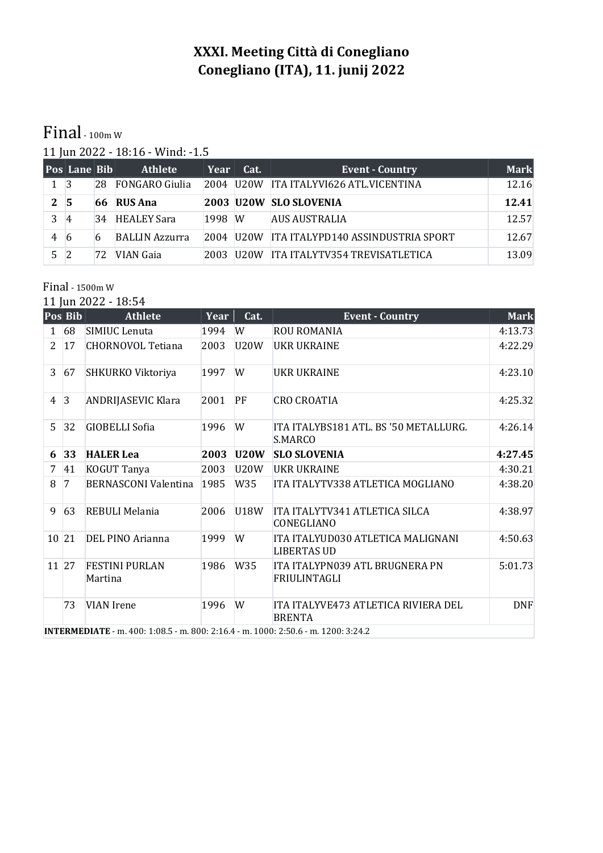## **XXXI. Meeting Città di Conegliano Conegliano (ITA), 11. junij 2022**

## Final - 100m W

11 Jun 2022 - 18:16 - Wind: -1.5

|          | <b>Pos Lane Bib</b> |    | <b>Athlete</b>        | Year   | Cat. | <b>Event - Country</b>                      | <b>Mark</b> |
|----------|---------------------|----|-----------------------|--------|------|---------------------------------------------|-------------|
| 1 3      |                     | 28 | <b>FONGARO Giulia</b> |        |      | 2004 U20W ITA ITALYVI626 ATL.VICENTINA      | 12.16       |
| $2 \,$ 5 |                     |    | 66 RUS Ana            |        |      | 2003 U20W SLO SLOVENIA                      | 12.41       |
|          | $\overline{4}$      | 34 | <b>HEALEY Sara</b>    | 1998 W |      | <b>AUS AUSTRALIA</b>                        | 12.57       |
| 4        | -6                  | 6  | <b>BALLIN Azzurra</b> |        |      | 2004 U20W ITA ITALYPD140 ASSINDUSTRIA SPORT | 12.67       |
| 5.       |                     | 72 | VIAN Gaia             | 2003   |      | U20W ITA ITALYTV354 TREVISATLETICA          | 13.09       |

## Final - 1500m W

11 Jun 2022 - 18:54

|                | Pos Bib        | <b>Athlete</b>                     | Year             | Cat.        | <b>Event - Country</b>                                                                        | <b>Mark</b> |
|----------------|----------------|------------------------------------|------------------|-------------|-----------------------------------------------------------------------------------------------|-------------|
| $\mathbf{1}$   | 68             | SIMIUC Lenuta                      | 1994             | W           | <b>ROU ROMANIA</b>                                                                            | 4:13.73     |
| $\overline{2}$ | 17             | <b>CHORNOVOL Tetiana</b>           | 2003             | U20W        | UKR UKRAINE                                                                                   | 4:22.29     |
| 3              | 67             | SHKURKO Viktoriya                  | 1997             | W           | <b>UKR UKRAINE</b>                                                                            | 4:23.10     |
| 4              | $\overline{3}$ | <b>ANDRIJASEVIC Klara</b>          | 2001             | PF          | <b>CRO CROATIA</b>                                                                            | 4:25.32     |
| 5              | 32             | <b>GIOBELLI Sofia</b>              | 1996             | W           | ITA ITALYBS181 ATL. BS '50 METALLURG.<br>S.MARCO                                              | 4:26.14     |
| 6              | 33             | <b>HALER Lea</b>                   | 2003             | <b>U20W</b> | <b>SLO SLOVENIA</b>                                                                           | 4:27.45     |
| 7              | 41             | KOGUT Tanya                        | 2003             | <b>U20W</b> | <b>UKR UKRAINE</b>                                                                            | 4:30.21     |
| 8              | 7              | <b>BERNASCONI Valentina</b>        | 1985             | W35         | ITA ITALYTV338 ATLETICA MOGLIANO                                                              | 4:38.20     |
| 9              | 63             | REBULI Melania                     | 2006             | <b>U18W</b> | ITA ITALYTV341 ATLETICA SILCA<br>CONEGLIANO                                                   | 4:38.97     |
| 10 21          |                | DEL PINO Arianna                   | 1999             | W           | ITA ITALYUD030 ATLETICA MALIGNANI<br><b>LIBERTAS UD</b>                                       | 4:50.63     |
| 11 27          |                | <b>FESTINI PURLAN</b><br>Martina   | 1986             | W35         | ITA ITALYPN039 ATL BRUGNERA PN<br>FRIULINTAGLI                                                | 5:01.73     |
|                | 73             | <b>VIAN</b> Irene<br>$\frac{1}{2}$ | 1996<br>0.002364 | W           | ITA ITALYVE473 ATLETICA RIVIERA DEL<br><b>BRENTA</b><br>1000.250c<br>$\sim$ 4.300 $\sim$ 3.42 | <b>DNF</b>  |

**INTERMEDIATE** - m. 400: 1:08.5 - m. 800: 2:16.4 - m. 1000: 2:50.6 - m. 1200: 3:24.2